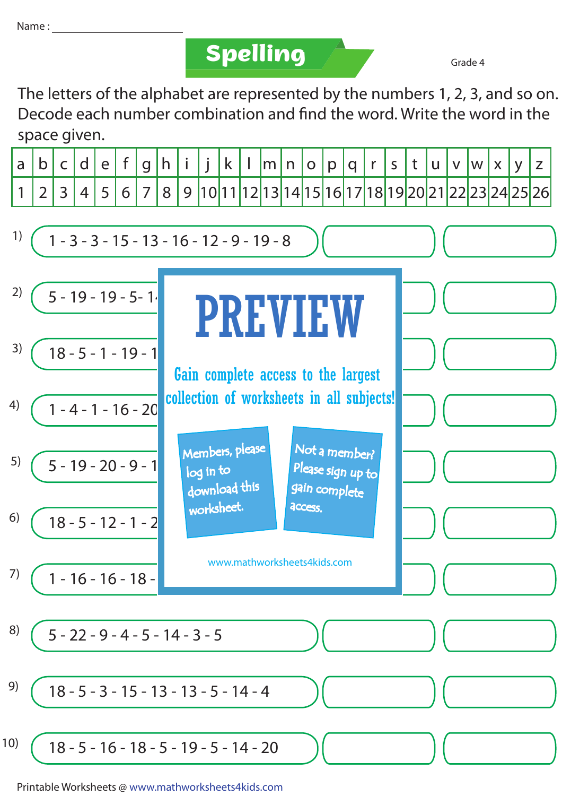Name :

**Spelling Grade 4** 

The letters of the alphabet are represented by the numbers 1, 2, 3, and so on. Decode each number combination and find the word. Write the word in the space given.



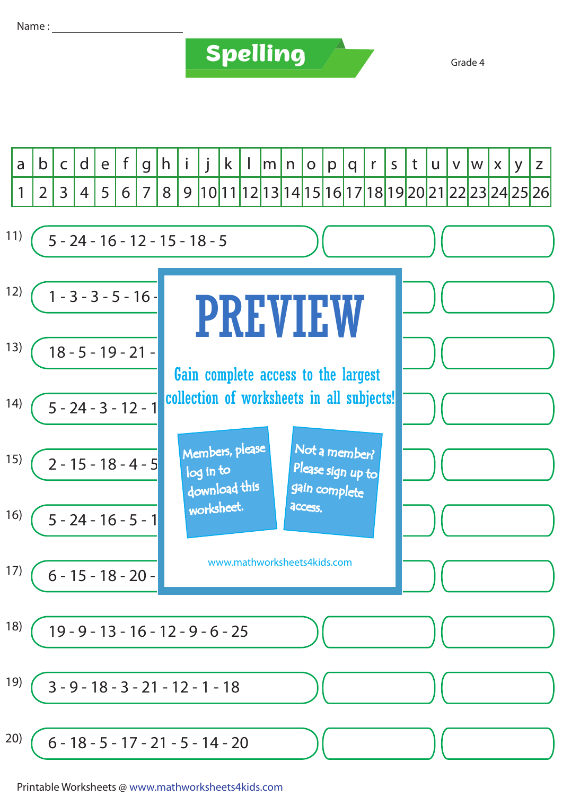## Name :

## **Spelling Grade 4**



Printable Worksheets @ www.mathworksheets4kids.com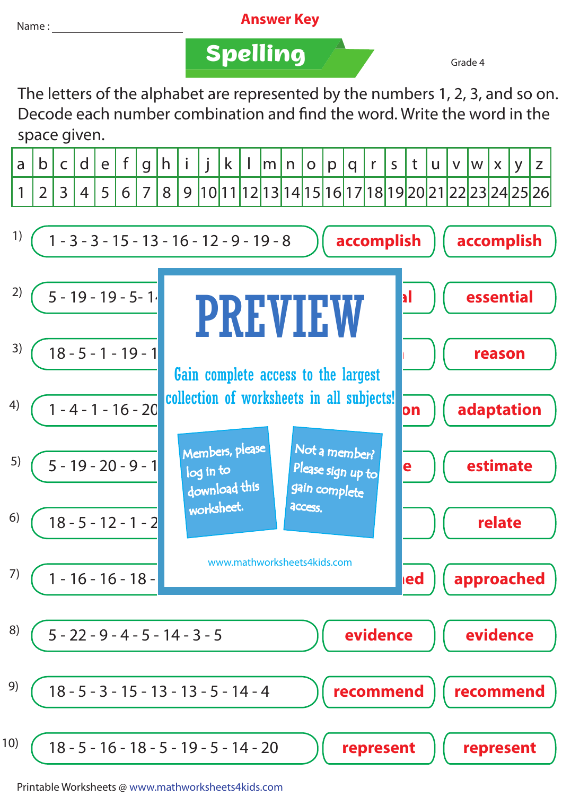## Name : **Answer Key**

**Spelling Grade 4** 

The letters of the alphabet are represented by the numbers 1, 2, 3, and so on. Decode each number combination and find the word. Write the word in the space given.

|  |  |  |  |  |  |  |  |  |  |  | $ a b c d e f g h i j k l m n o p q r s t u v w x y z $ |                                                                                       |
|--|--|--|--|--|--|--|--|--|--|--|---------------------------------------------------------|---------------------------------------------------------------------------------------|
|  |  |  |  |  |  |  |  |  |  |  |                                                         | 1   2   3   4   5   6   7   8   9  10 11 12 13 14 15 16 17 18 19 20 21 22 23 24 25 26 |



Printable Worksheets @ www.mathworksheets4kids.com